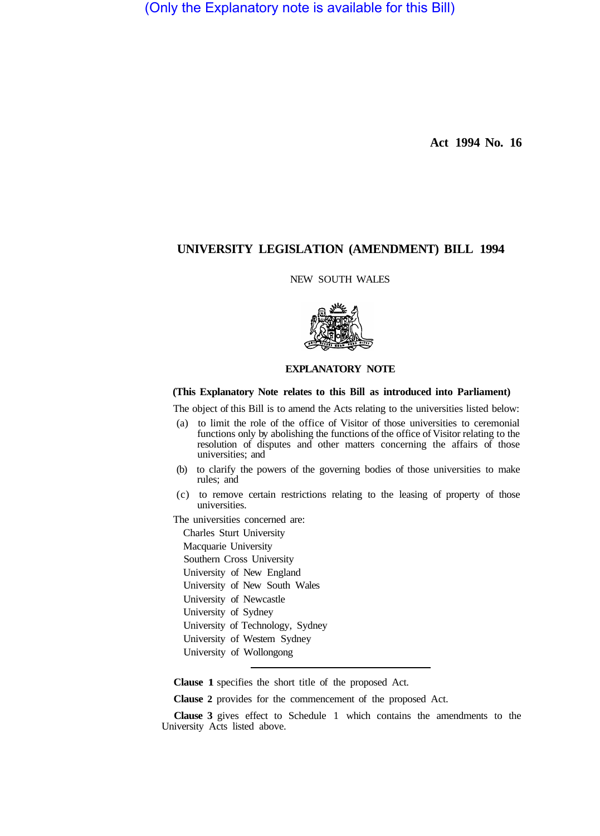(Only the Explanatory note is available for this Bill)

**Act 1994 No. 16** 

# **UNIVERSITY LEGISLATION (AMENDMENT) BILL 1994**

## NEW SOUTH WALES



## **EXPLANATORY NOTE**

#### **(This Explanatory Note relates to this Bill as introduced into Parliament)**

The object of this Bill is to amend the Acts relating to the universities listed below:

- (a) to limit the role of the office of Visitor of those universities to ceremonial functions only by abolishing the functions of the office of Visitor relating to the resolution of disputes and other matters concerning the affairs of those universities; and
- (b) to clarify the powers of the governing bodies of those universities to make rules; and
- (c) to remove certain restrictions relating to the leasing of property of those universities.

The universities concerned are:

Charles Sturt University Macquarie University Southern Cross University University of New England University of New South Wales University of Newcastle University of Sydney University of Technology, Sydney University of Western Sydney University of Wollongong

**Clause 1** specifies the short title of the proposed Act.

**Clause 2** provides for the commencement of the proposed Act.

**Clause 3** gives effect to Schedule 1 which contains the amendments to the University Acts listed above.